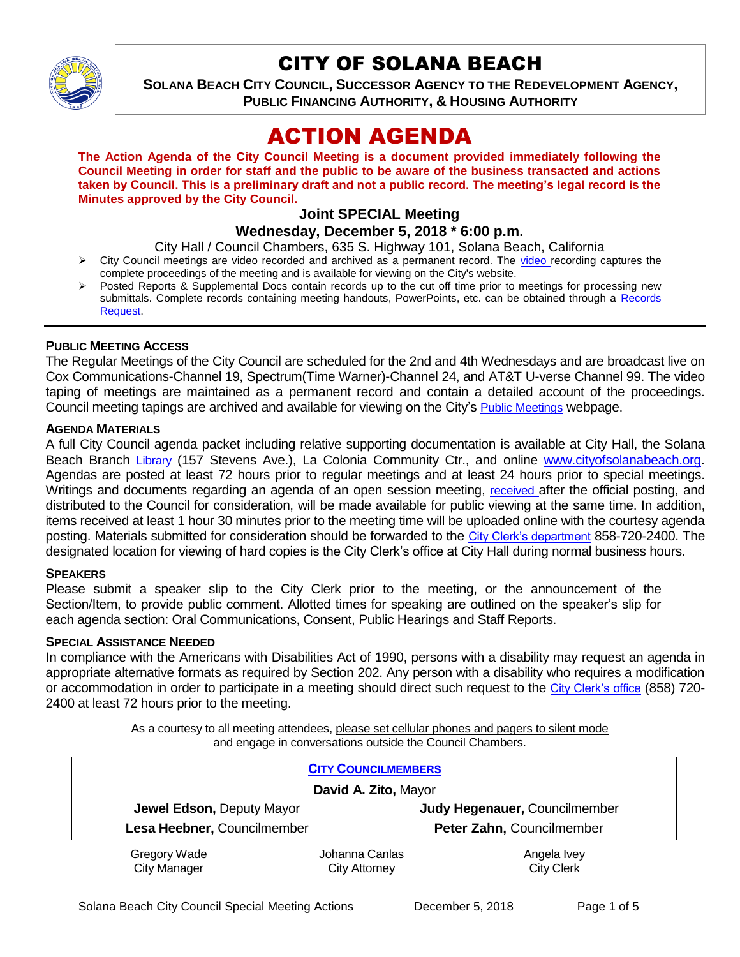

# CITY OF SOLANA BEACH

**SOLANA BEACH CITY COUNCIL, SUCCESSOR AGENCY TO THE REDEVELOPMENT AGENCY, PUBLIC FINANCING AUTHORITY, & HOUSING AUTHORITY** 

# ACTION AGENDA

**The Action Agenda of the City Council Meeting is a document provided immediately following the Council Meeting in order for staff and the public to be aware of the business transacted and actions taken by Council. This is a preliminary draft and not a public record. The meeting's legal record is the Minutes approved by the City Council.**

# **Joint SPECIAL Meeting**

# **Wednesday, December 5, 2018 \* 6:00 p.m.**

City Hall / Council Chambers, 635 S. Highway 101, Solana Beach, California

- $\triangleright$  City Council meetings are [video r](https://solanabeach.12milesout.com/#page=1)ecorded and archived as a permanent record. The video recording captures the complete proceedings of the meeting and is available for viewing on the City's website.
- Posted Reports & Supplemental Docs contain records up to the cut off time prior to meetings for processing new submittals. Complete records containing meeting handouts, PowerPoints, etc. can be obtained through a Records [Request.](http://www.ci.solana-beach.ca.us/index.asp?SEC=F5D45D10-70CE-4291-A27C-7BD633FC6742&Type=B_BASIC)

## **PUBLIC MEETING ACCESS**

The Regular Meetings of the City Council are scheduled for the 2nd and 4th Wednesdays and are broadcast live on Cox Communications-Channel 19, Spectrum(Time Warner)-Channel 24, and AT&T U-verse Channel 99. The video taping of meetings are maintained as a permanent record and contain a detailed account of the proceedings. Council meeting tapings are archived and available for viewing on the City's [Public Meetings](https://www.ci.solana-beach.ca.us/index.asp?SEC=F0F1200D-21C6-4A88-8AE1-0BC07C1A81A7&Type=B_BASIC) webpage.

#### **AGENDA MATERIALS**

A full City Council agenda packet including relative supporting documentation is available at City Hall, the Solana Beach Branch [Library](http://www.sdcl.org/locations_SB.html) (157 Stevens Ave.), La Colonia Community Ctr., and online [www.cityofsolanabeach.org.](http://www.cityofsolanabeach.org/) Agendas are posted at least 72 hours prior to regular meetings and at least 24 hours prior to special meetings. Writings and documents regarding an agenda of an open session meeting, [received](mailto:EMAILGRP-CityClerksOfc@cosb.org) after the official posting, and distributed to the Council for consideration, will be made available for public viewing at the same time. In addition, items received at least 1 hour 30 minutes prior to the meeting time will be uploaded online with the courtesy agenda posting. Materials submitted for consideration should be forwarded to the [City Clerk's department](mailto:EMAILGRP-CityClerksOfc@cosb.org) 858-720-2400. The designated location for viewing of hard copies is the City Clerk's office at City Hall during normal business hours.

#### **SPEAKERS**

Please submit a speaker slip to the City Clerk prior to the meeting, or the announcement of the Section/Item, to provide public comment. Allotted times for speaking are outlined on the speaker's slip for each agenda section: Oral Communications, Consent, Public Hearings and Staff Reports.

#### **SPECIAL ASSISTANCE NEEDED**

In compliance with the Americans with Disabilities Act of 1990, persons with a disability may request an agenda in appropriate alternative formats as required by Section 202. Any person with a disability who requires a modification or accommodation in order to participate in a meeting should direct such request to the [City Clerk's office](mailto:clerkadmin@cosb.org?subject=City%20Clerk%20Notice%20of%20Special%20Services%20Needed) (858) 720- 2400 at least 72 hours prior to the meeting.

> As a courtesy to all meeting attendees, please set cellular phones and pagers to silent mode and engage in conversations outside the Council Chambers.

| <b>CITY COUNCILMEMBERS</b><br>David A. Zito, Mayor       |                                        |                                                            |
|----------------------------------------------------------|----------------------------------------|------------------------------------------------------------|
| Jewel Edson, Deputy Mayor<br>Lesa Heebner, Councilmember |                                        | Judy Hegenauer, Councilmember<br>Peter Zahn, Councilmember |
| Gregory Wade<br><b>City Manager</b>                      | Johanna Canlas<br><b>City Attorney</b> | Angela Ivey<br><b>City Clerk</b>                           |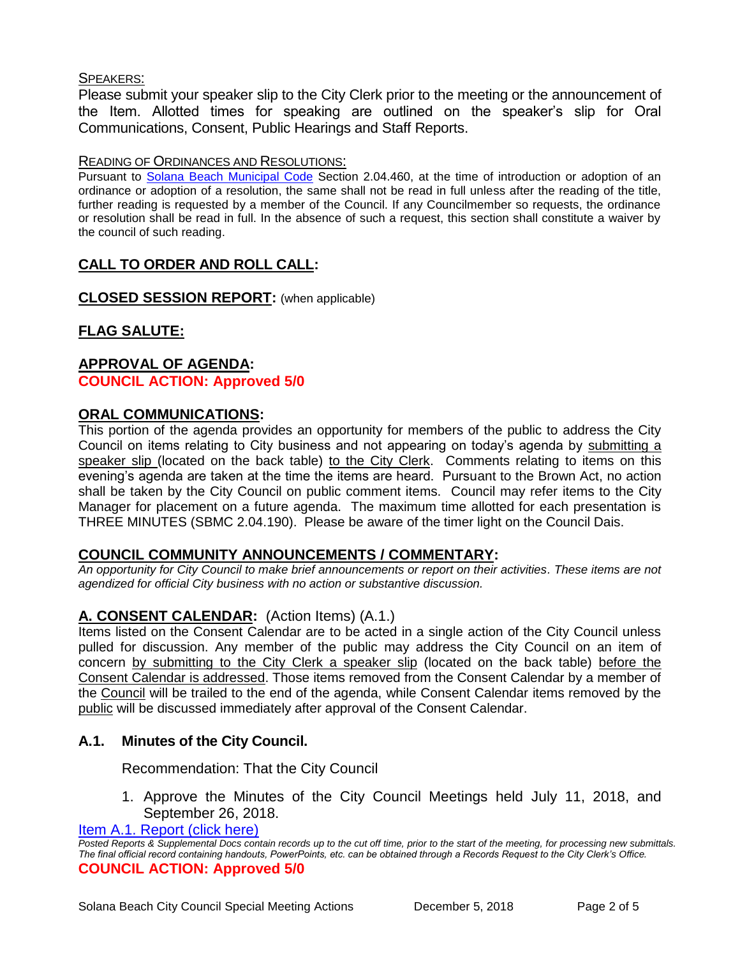## SPEAKERS:

Please submit your speaker slip to the City Clerk prior to the meeting or the announcement of the Item. Allotted times for speaking are outlined on the speaker's slip for Oral Communications, Consent, Public Hearings and Staff Reports.

#### READING OF ORDINANCES AND RESOLUTIONS:

Pursuant to [Solana Beach Municipal Code](mailto:https://www.codepublishing.com/CA/SolanaBeach/) Section 2.04.460, at the time of introduction or adoption of an ordinance or adoption of a resolution, the same shall not be read in full unless after the reading of the title, further reading is requested by a member of the Council. If any Councilmember so requests, the ordinance or resolution shall be read in full. In the absence of such a request, this section shall constitute a waiver by the council of such reading.

# **CALL TO ORDER AND ROLL CALL:**

**CLOSED SESSION REPORT:** (when applicable)

# **FLAG SALUTE:**

## **APPROVAL OF AGENDA: COUNCIL ACTION: Approved 5/0**

## **ORAL COMMUNICATIONS:**

This portion of the agenda provides an opportunity for members of the public to address the City Council on items relating to City business and not appearing on today's agenda by submitting a speaker slip (located on the back table) to the City Clerk. Comments relating to items on this evening's agenda are taken at the time the items are heard. Pursuant to the Brown Act, no action shall be taken by the City Council on public comment items. Council may refer items to the City Manager for placement on a future agenda. The maximum time allotted for each presentation is THREE MINUTES (SBMC 2.04.190). Please be aware of the timer light on the Council Dais.

#### **COUNCIL COMMUNITY ANNOUNCEMENTS / COMMENTARY:**

*An opportunity for City Council to make brief announcements or report on their activities. These items are not agendized for official City business with no action or substantive discussion.* 

# **A. CONSENT CALENDAR:** (Action Items) (A.1.)

Items listed on the Consent Calendar are to be acted in a single action of the City Council unless pulled for discussion. Any member of the public may address the City Council on an item of concern by submitting to the City Clerk a speaker slip (located on the back table) before the Consent Calendar is addressed. Those items removed from the Consent Calendar by a member of the Council will be trailed to the end of the agenda, while Consent Calendar items removed by the public will be discussed immediately after approval of the Consent Calendar.

# **A.1. Minutes of the City Council.**

Recommendation: That the City Council

1. Approve the Minutes of the City Council Meetings held July 11, 2018, and September 26, 2018.

[Item A.1. Report \(click here\)](https://solanabeach.govoffice3.com/vertical/Sites/%7B840804C2-F869-4904-9AE3-720581350CE7%7D/uploads/Item_A.1._Report_(click_here)_-_12-05-18.PDF) 

*Posted Reports & Supplemental Docs contain records up to the cut off time, prior to the start of the meeting, for processing new submittals. The final official record containing handouts, PowerPoints, etc. can be obtained through a Records Request to the City Clerk's Office.* **COUNCIL ACTION: Approved 5/0**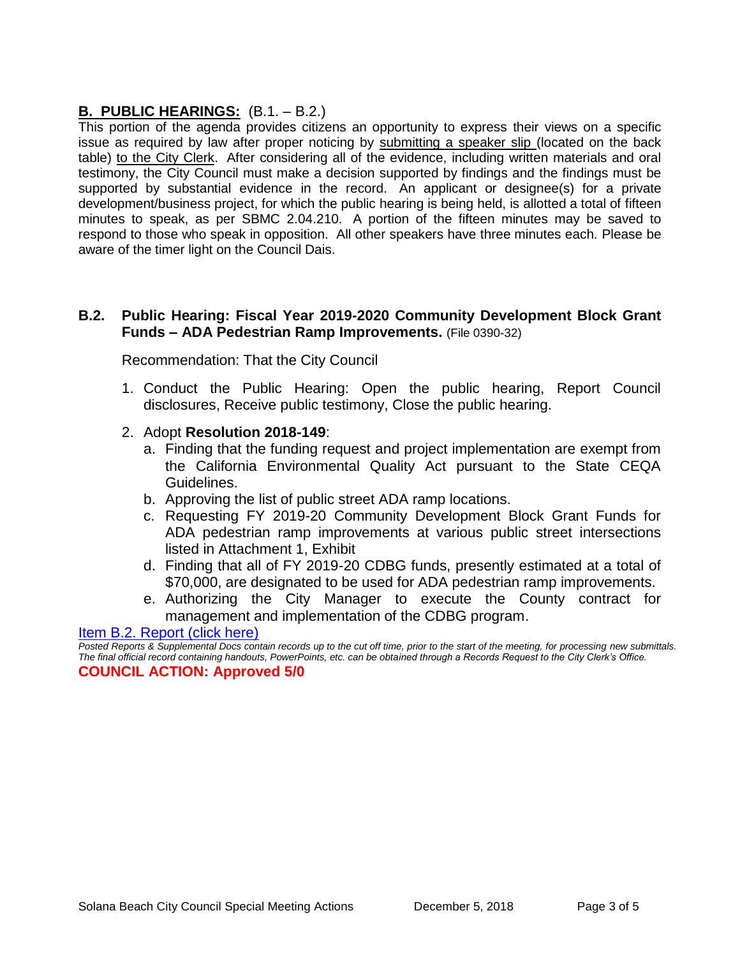# **B. PUBLIC HEARINGS:** (B.1. – B.2.)

This portion of the agenda provides citizens an opportunity to express their views on a specific issue as required by law after proper noticing by submitting a speaker slip (located on the back table) to the City Clerk. After considering all of the evidence, including written materials and oral testimony, the City Council must make a decision supported by findings and the findings must be supported by substantial evidence in the record. An applicant or designee(s) for a private development/business project, for which the public hearing is being held, is allotted a total of fifteen minutes to speak, as per SBMC 2.04.210. A portion of the fifteen minutes may be saved to respond to those who speak in opposition. All other speakers have three minutes each. Please be aware of the timer light on the Council Dais.

## **B.2. Public Hearing: Fiscal Year 2019-2020 Community Development Block Grant Funds – ADA Pedestrian Ramp Improvements.** (File 0390-32)

Recommendation: That the City Council

- 1. Conduct the Public Hearing: Open the public hearing, Report Council disclosures, Receive public testimony, Close the public hearing.
- 2. Adopt **Resolution 2018-149**:
	- a. Finding that the funding request and project implementation are exempt from the California Environmental Quality Act pursuant to the State CEQA Guidelines.
	- b. Approving the list of public street ADA ramp locations.
	- c. Requesting FY 2019-20 Community Development Block Grant Funds for ADA pedestrian ramp improvements at various public street intersections listed in Attachment 1, Exhibit
	- d. Finding that all of FY 2019-20 CDBG funds, presently estimated at a total of \$70,000, are designated to be used for ADA pedestrian ramp improvements.
	- e. Authorizing the City Manager to execute the County contract for management and implementation of the CDBG program.

[Item B.2. Report \(click here\)](https://solanabeach.govoffice3.com/vertical/Sites/%7B840804C2-F869-4904-9AE3-720581350CE7%7D/uploads/Item_B.2._Report_(click_here)_-_12-05-18.PDF) 

*Posted Reports & Supplemental Docs contain records up to the cut off time, prior to the start of the meeting, for processing new submittals. The final official record containing handouts, PowerPoints, etc. can be obtained through a Records Request to the City Clerk's Office.* **COUNCIL ACTION: Approved 5/0**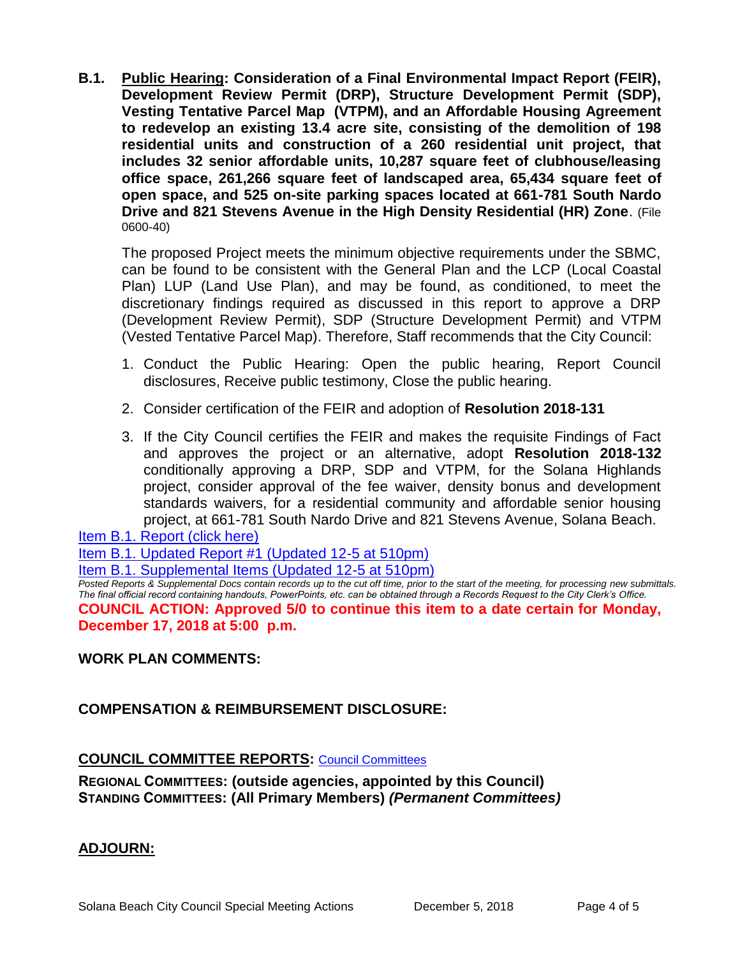**B.1. Public Hearing: Consideration of a Final Environmental Impact Report (FEIR), Development Review Permit (DRP), Structure Development Permit (SDP), Vesting Tentative Parcel Map (VTPM), and an Affordable Housing Agreement to redevelop an existing 13.4 acre site, consisting of the demolition of 198 residential units and construction of a 260 residential unit project, that includes 32 senior affordable units, 10,287 square feet of clubhouse/leasing office space, 261,266 square feet of landscaped area, 65,434 square feet of open space, and 525 on-site parking spaces located at 661-781 South Nardo Drive and 821 Stevens Avenue in the High Density Residential (HR) Zone**. (File 0600-40)

The proposed Project meets the minimum objective requirements under the SBMC, can be found to be consistent with the General Plan and the LCP (Local Coastal Plan) LUP (Land Use Plan), and may be found, as conditioned, to meet the discretionary findings required as discussed in this report to approve a DRP (Development Review Permit), SDP (Structure Development Permit) and VTPM (Vested Tentative Parcel Map). Therefore, Staff recommends that the City Council:

- 1. Conduct the Public Hearing: Open the public hearing, Report Council disclosures, Receive public testimony, Close the public hearing.
- 2. Consider certification of the FEIR and adoption of **Resolution 2018-131**
- 3. If the City Council certifies the FEIR and makes the requisite Findings of Fact and approves the project or an alternative, adopt **Resolution 2018-132** conditionally approving a DRP, SDP and VTPM, for the Solana Highlands project, consider approval of the fee waiver, density bonus and development standards waivers, for a residential community and affordable senior housing project, at 661-781 South Nardo Drive and 821 Stevens Avenue, Solana Beach.

[Item B.1. Report \(click here\)](https://solanabeach.govoffice3.com/vertical/Sites/%7B840804C2-F869-4904-9AE3-720581350CE7%7D/uploads/Item_B.1._Report_(click_here)_12-05-18.pdf) 

[Item B.1. Updated Report #1 \(Updated 12-5 at 510pm\)](https://solanabeach.govoffice3.com/vertical/Sites/%7B840804C2-F869-4904-9AE3-720581350CE7%7D/uploads/B.1._Updated_Report_1_-_12-5-18.pdf)

[Item B.1. Supplemental Items \(Updated 12-5](https://solanabeach.govoffice3.com/vertical/Sites/%7B840804C2-F869-4904-9AE3-720581350CE7%7D/uploads/B.1.__Supplemental_Docs_(Updated_12-5_at_5pm).pdf) at 510pm)

*Posted Reports & Supplemental Docs contain records up to the cut off time, prior to the start of the meeting, for processing new submittals. The final official record containing handouts, PowerPoints, etc. can be obtained through a Records Request to the City Clerk's Office.* **COUNCIL ACTION: Approved 5/0 to continue this item to a date certain for Monday, December 17, 2018 at 5:00 p.m.** 

# **WORK PLAN COMMENTS:**

# **COMPENSATION & REIMBURSEMENT DISCLOSURE:**

# **COUNCIL COMMITTEE REPORTS:** [Council Committees](https://www.ci.solana-beach.ca.us/index.asp?SEC=584E1192-3850-46EA-B977-088AC3E81E0D&Type=B_BASIC)

**REGIONAL COMMITTEES: (outside agencies, appointed by this Council) STANDING COMMITTEES: (All Primary Members)** *(Permanent Committees)*

# **ADJOURN:**